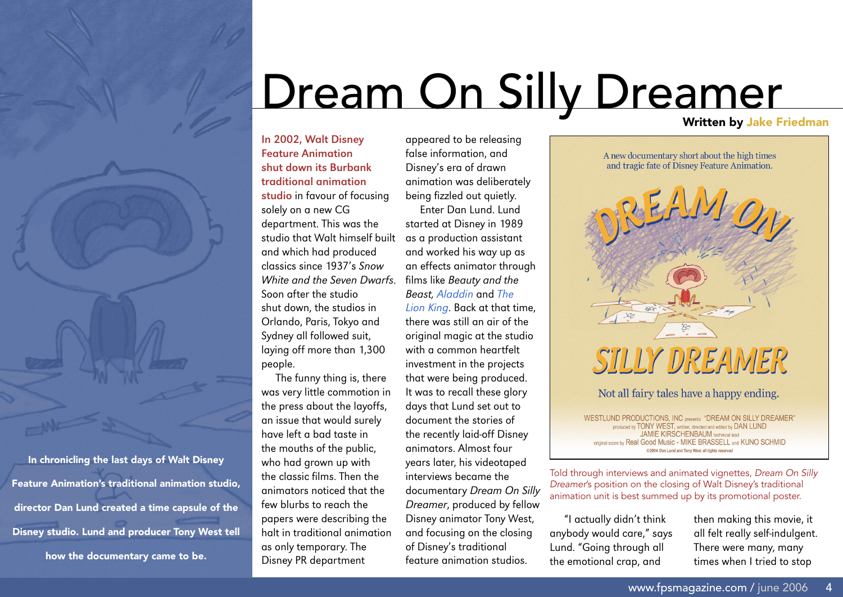## Dream On Silly Dreamer

**In 2002, Walt Disney Feature Animation shut down its Burbank traditional animation studio** in favour of focusing solely on a new CG department. This was the studio that Walt himself built as a production assistant and which had produced classics since 1937's *Snow White and the Seven Dwarfs*. Soon after the studio shut down, the studios in Orlando, Paris, Tokyo and Sydney all followed suit, laying off more than 1,300 people.

The funny thing is, there was very little commotion in the press about the layoffs, an issue that would surely have left a bad taste in the mouths of the public, who had grown up with the classic films. Then the animators noticed that the few blurbs to reach the papers were describing the halt in traditional animation as only temporary. The Disney PR department

false information, and Disney's era of drawn animation was deliberately being fizzled out quietly. Enter Dan Lund. Lund started at Disney in 1989 and worked his way up as an effects animator through films like *Beauty and the Beast, [Aladdin](http://fpsmagazine.com/feature/041022goldberg.php)* and *[The](http://www.fpsmagazine.com/review/lionking.php)  [Lion King](http://www.fpsmagazine.com/review/lionking.php)*. Back at that time, there was still an air of the original magic at the studio with a common heartfelt investment in the projects that were being produced. It was to recall these glory days that Lund set out to document the stories of the recently laid-off Disney animators. Almost four years later, his videotaped interviews became the documentary *Dream On Silly* 

appeared to be releasing

*Dreamer*, produced by fellow Disney animator Tony West, and focusing on the closing of Disney's traditional feature animation studios.



**WESTLUND PRODUCTIONS, INC presents "DREAM ON SILLY DREAMER"** produced by TONY WEST, written, directed and edited by DAN LUND **JAMIE KIRSCHENBAUM** technical lead original score by Real Good Music - MIKE BRASSELL and KUNO SCHMID @2004 Dan Lund and Tony West all rights reserved

Told through interviews and animated vignettes, Dream On Silly Dreamer's position on the closing of Walt Disney's traditional animation unit is best summed up by its promotional poster.

"I actually didn't think anybody would care," says Lund. "Going through all the emotional crap, and

then making this movie, it all felt really self-indulgent. There were many, many times when I tried to stop

In chronicling the last days of Walt Disney Feature Animation's traditional animation studio, director Dan Lund created a time capsule of the Disney studio. Lund and producer Tony West tell how the documentary came to be.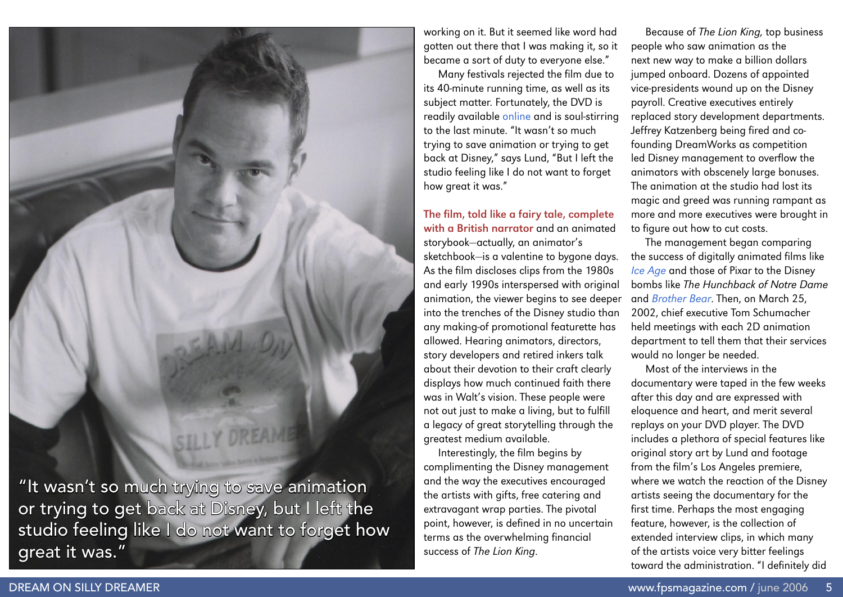

working on it. But it seemed like word had gotten out there that I was making it, so it became a sort of duty to everyone else."

Many festivals rejected the film due to its 40-minute running time, as well as its subject matter. Fortunately, the DVD is readily available [online](http://www.dreamonsillydreamer.com/) and is soul-stirring to the last minute. "It wasn't so much trying to save animation or trying to get back at Disney," says Lund, "But I left the studio feeling like I do not want to forget how great it was."

**The film, told like a fairy tale, complete with a British narrator** and an animated storybook—actually, an animator's sketchbook—is a valentine to bygone days. As the film discloses clips from the 1980s and early 1990s interspersed with original animation, the viewer begins to see deeper into the trenches of the Disney studio than any making-of promotional featurette has allowed. Hearing animators, directors, story developers and retired inkers talk about their devotion to their craft clearly displays how much continued faith there was in Walt's vision. These people were not out just to make a living, but to fulfill a legacy of great storytelling through the greatest medium available.

Interestingly, the film begins by complimenting the Disney management and the way the executives encouraged the artists with gifts, free catering and extravagant wrap parties. The pivotal point, however, is defined in no uncertain terms as the overwhelming financial success of *The Lion King*.

Because of *The Lion King,* top business people who saw animation as the next new way to make a billion dollars jumped onboard. Dozens of appointed vice-presidents wound up on the Disney payroll. Creative executives entirely replaced story development departments. Jeffrey Katzenberg being fired and cofounding DreamWorks as competition led Disney management to overflow the animators with obscenely large bonuses. The animation at the studio had lost its magic and greed was running rampant as more and more executives were brought in to figure out how to cut costs.

The management began comparing the success of digitally animated films like *[Ice Age](http://fpsmagazine.com/comment/iceage.php)* and those of Pixar to the Disney bombs like *The Hunchback of Notre Dame*  and *[Brother Bear](http://fpsmagazine.com/review/brobear.php)*. Then, on March 25, 2002, chief executive Tom Schumacher held meetings with each 2D animation department to tell them that their services would no longer be needed.

Most of the interviews in the documentary were taped in the few weeks after this day and are expressed with eloquence and heart, and merit several replays on your DVD player. The DVD includes a plethora of special features like original story art by Lund and footage from the film's Los Angeles premiere, where we watch the reaction of the Disney artists seeing the documentary for the first time. Perhaps the most engaging feature, however, is the collection of extended interview clips, in which many of the artists voice very bitter feelings toward the administration. "I definitely did